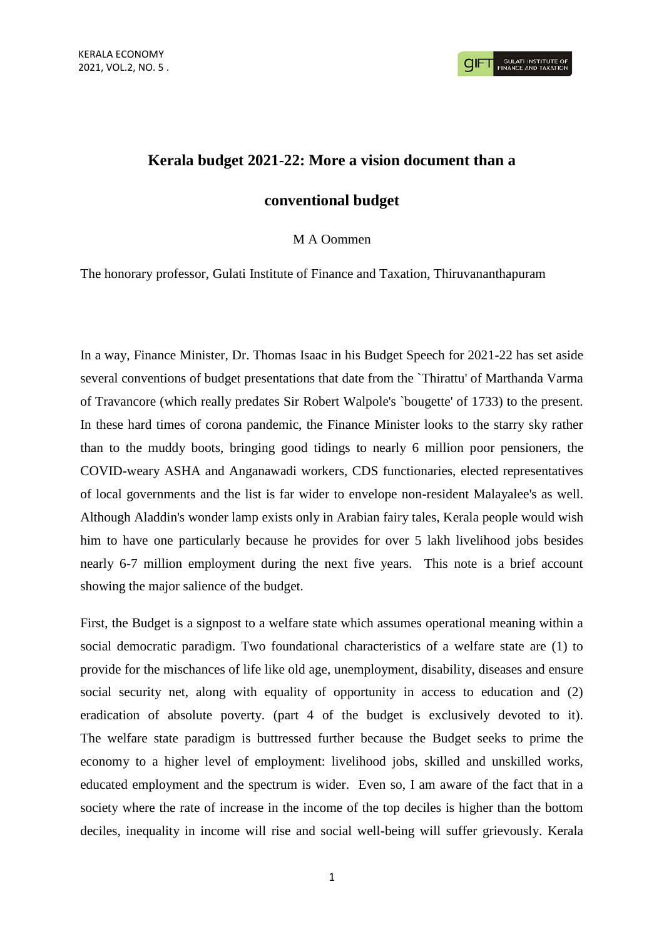## **Kerala budget 2021-22: More a vision document than a**

## **conventional budget**

## M A Oommen

The honorary professor, Gulati Institute of Finance and Taxation, Thiruvananthapuram

In a way, Finance Minister, Dr. Thomas Isaac in his Budget Speech for 2021-22 has set aside several conventions of budget presentations that date from the `Thirattu' of Marthanda Varma of Travancore (which really predates Sir Robert Walpole's `bougette' of 1733) to the present. In these hard times of corona pandemic, the Finance Minister looks to the starry sky rather than to the muddy boots, bringing good tidings to nearly 6 million poor pensioners, the COVID-weary ASHA and Anganawadi workers, CDS functionaries, elected representatives of local governments and the list is far wider to envelope non-resident Malayalee's as well. Although Aladdin's wonder lamp exists only in Arabian fairy tales, Kerala people would wish him to have one particularly because he provides for over 5 lakh livelihood jobs besides nearly 6-7 million employment during the next five years. This note is a brief account showing the major salience of the budget.

First, the Budget is a signpost to a welfare state which assumes operational meaning within a social democratic paradigm. Two foundational characteristics of a welfare state are (1) to provide for the mischances of life like old age, unemployment, disability, diseases and ensure social security net, along with equality of opportunity in access to education and (2) eradication of absolute poverty. (part 4 of the budget is exclusively devoted to it). The welfare state paradigm is buttressed further because the Budget seeks to prime the economy to a higher level of employment: livelihood jobs, skilled and unskilled works, educated employment and the spectrum is wider. Even so, I am aware of the fact that in a society where the rate of increase in the income of the top deciles is higher than the bottom deciles, inequality in income will rise and social well-being will suffer grievously. Kerala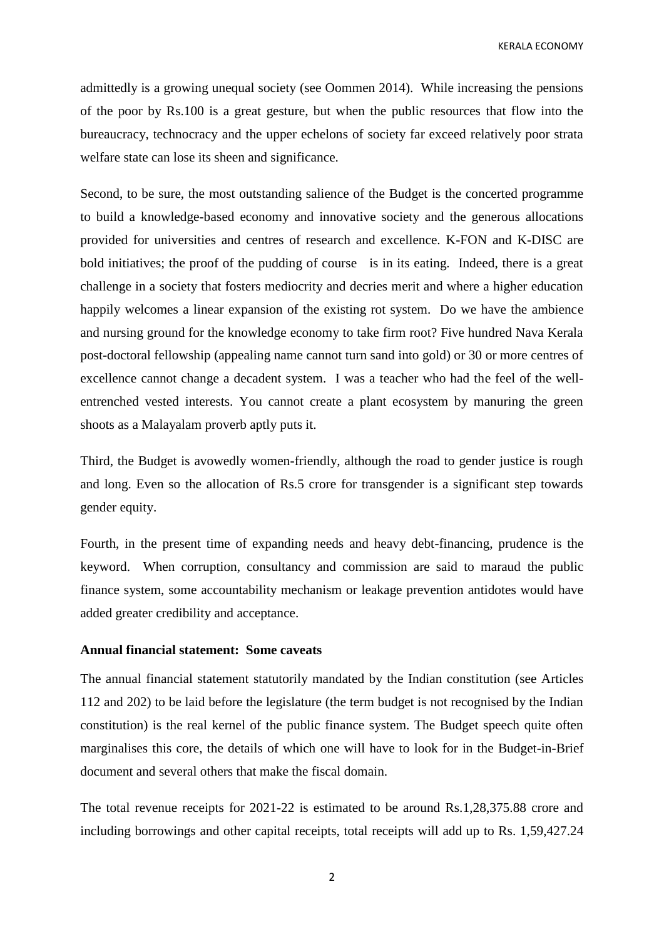KERALA ECONOMY

admittedly is a growing unequal society (see Oommen 2014). While increasing the pensions of the poor by Rs.100 is a great gesture, but when the public resources that flow into the bureaucracy, technocracy and the upper echelons of society far exceed relatively poor strata welfare state can lose its sheen and significance.

Second, to be sure, the most outstanding salience of the Budget is the concerted programme to build a knowledge-based economy and innovative society and the generous allocations provided for universities and centres of research and excellence. K-FON and K-DISC are bold initiatives; the proof of the pudding of course is in its eating. Indeed, there is a great challenge in a society that fosters mediocrity and decries merit and where a higher education happily welcomes a linear expansion of the existing rot system. Do we have the ambience and nursing ground for the knowledge economy to take firm root? Five hundred Nava Kerala post-doctoral fellowship (appealing name cannot turn sand into gold) or 30 or more centres of excellence cannot change a decadent system. I was a teacher who had the feel of the wellentrenched vested interests. You cannot create a plant ecosystem by manuring the green shoots as a Malayalam proverb aptly puts it.

Third, the Budget is avowedly women-friendly, although the road to gender justice is rough and long. Even so the allocation of Rs.5 crore for transgender is a significant step towards gender equity.

Fourth, in the present time of expanding needs and heavy debt-financing, prudence is the keyword. When corruption, consultancy and commission are said to maraud the public finance system, some accountability mechanism or leakage prevention antidotes would have added greater credibility and acceptance.

## **Annual financial statement: Some caveats**

The annual financial statement statutorily mandated by the Indian constitution (see Articles 112 and 202) to be laid before the legislature (the term budget is not recognised by the Indian constitution) is the real kernel of the public finance system. The Budget speech quite often marginalises this core, the details of which one will have to look for in the Budget-in-Brief document and several others that make the fiscal domain.

The total revenue receipts for 2021-22 is estimated to be around Rs.1,28,375.88 crore and including borrowings and other capital receipts, total receipts will add up to Rs. 1,59,427.24

2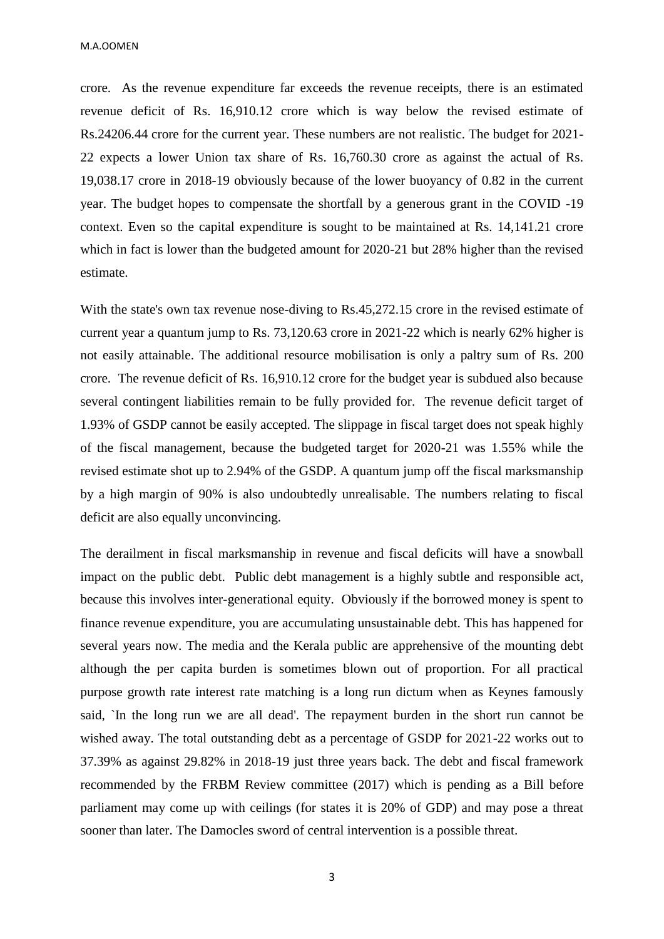M.A.OOMEN

crore. As the revenue expenditure far exceeds the revenue receipts, there is an estimated revenue deficit of Rs. 16,910.12 crore which is way below the revised estimate of Rs.24206.44 crore for the current year. These numbers are not realistic. The budget for 2021- 22 expects a lower Union tax share of Rs. 16,760.30 crore as against the actual of Rs. 19,038.17 crore in 2018-19 obviously because of the lower buoyancy of 0.82 in the current year. The budget hopes to compensate the shortfall by a generous grant in the COVID -19 context. Even so the capital expenditure is sought to be maintained at Rs. 14,141.21 crore which in fact is lower than the budgeted amount for 2020-21 but 28% higher than the revised estimate.

With the state's own tax revenue nose-diving to Rs.45,272.15 crore in the revised estimate of current year a quantum jump to Rs. 73,120.63 crore in 2021-22 which is nearly 62% higher is not easily attainable. The additional resource mobilisation is only a paltry sum of Rs. 200 crore. The revenue deficit of Rs. 16,910.12 crore for the budget year is subdued also because several contingent liabilities remain to be fully provided for. The revenue deficit target of 1.93% of GSDP cannot be easily accepted. The slippage in fiscal target does not speak highly of the fiscal management, because the budgeted target for 2020-21 was 1.55% while the revised estimate shot up to 2.94% of the GSDP. A quantum jump off the fiscal marksmanship by a high margin of 90% is also undoubtedly unrealisable. The numbers relating to fiscal deficit are also equally unconvincing.

The derailment in fiscal marksmanship in revenue and fiscal deficits will have a snowball impact on the public debt. Public debt management is a highly subtle and responsible act, because this involves inter-generational equity. Obviously if the borrowed money is spent to finance revenue expenditure, you are accumulating unsustainable debt. This has happened for several years now. The media and the Kerala public are apprehensive of the mounting debt although the per capita burden is sometimes blown out of proportion. For all practical purpose growth rate interest rate matching is a long run dictum when as Keynes famously said, `In the long run we are all dead'. The repayment burden in the short run cannot be wished away. The total outstanding debt as a percentage of GSDP for 2021-22 works out to 37.39% as against 29.82% in 2018-19 just three years back. The debt and fiscal framework recommended by the FRBM Review committee (2017) which is pending as a Bill before parliament may come up with ceilings (for states it is 20% of GDP) and may pose a threat sooner than later. The Damocles sword of central intervention is a possible threat.